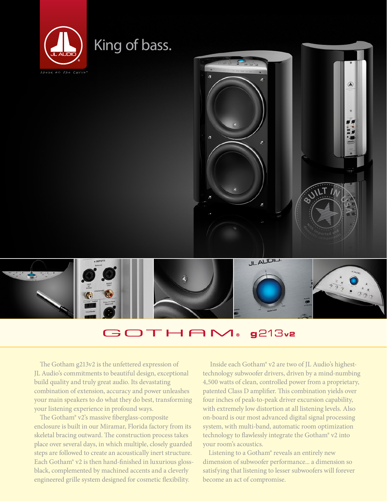

# King of bass.





#### GOTHAM®  $g213v2$

The Gotham g213v2 is the unfettered expression of JL Audio's commitments to beautiful design, exceptional build quality and truly great audio. Its devastating combination of extension, accuracy and power unleashes your main speakers to do what they do best, transforming your listening experience in profound ways.

The Gotham® v2's massive fiberglass-composite enclosure is built in our Miramar, Florida factory from its skeletal bracing outward. The construction process takes place over several days, in which multiple, closely guarded steps are followed to create an acoustically inert structure. Each Gotham® v2 is then hand-finished in luxurious glossblack, complemented by machined accents and a cleverly engineered grille system designed for cosmetic flexibility.

 Inside each Gotham® v2 are two of JL Audio's highesttechnology subwoofer drivers, driven by a mind-numbing 4,500 watts of clean, controlled power from a proprietary, patented Class D amplifier. This combination yields over four inches of peak-to-peak driver excursion capability, with extremely low distortion at all listening levels. Also on-board is our most advanced digital signal processing system, with multi-band, automatic room optimization technology to flawlessly integrate the Gotham® v2 into your room's acoustics.

Listening to a Gotham® reveals an entirely new dimension of subwoofer performance... a dimension so satisfying that listening to lesser subwoofers will forever become an act of compromise.